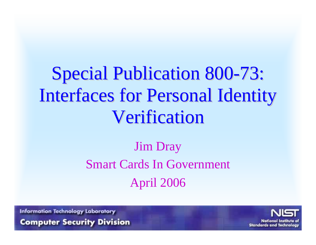# Special Publication 800-73: Interfaces for Personal Identity **Verification**

### Jim Dray Smart Cards In Government April 2006

**Information Technology Laboratory** 

**Computer Security Division** 

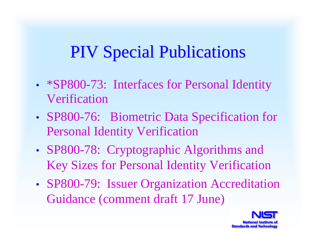# PIV Special Publications

- •• *\*SP800-73:* Interfaces for Personal Identity Verification
- •• SP800-76: Biometric Data Specification for Personal Identity Verification
- •• SP800-78: Cryptographic Algorithms and Key Sizes for Personal Identity Verification
- • SP800-79: Issuer Organization Accreditation Guidance (comment draft 17 June)

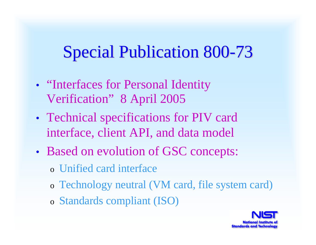# **Special Publication 800-73**

- •• "Interfaces for Personal Identity Verification" 8 April 2005
- • Technical specifications for PIV card interface, client API, and data model
- • Based on evolution of GSC concepts:
	- o Unified card interface
	- o Technology neutral (VM card, file system card)
	- o Standards compliant (ISO)

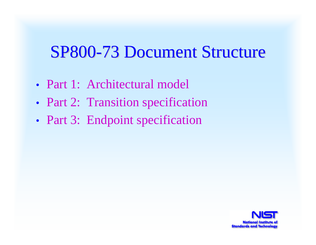### SP800-73 Document Structure

- Part 1: Architectural model
- •Part 2: Transition specification
- •• Part 3: Endpoint specification

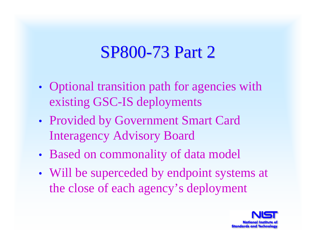### SP800-73 Part 2

- •• Optional transition path for agencies with existing GSC-IS deployments
- • Provided by Government Smart Card Interagency Advisory Board
- •Based on commonality of data model
- • Will be superceded by endpoint systems at the close of each agency's deployment

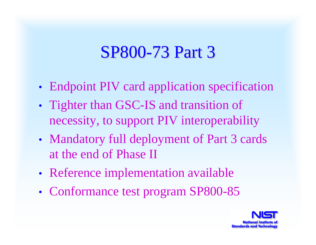### SP800-73 Part 3

- •Endpoint PIV card application specification
- •• Tighter than GSC-IS and transition of necessity, to support PIV interoperability
- •• Mandatory full deployment of Part 3 cards at the end of Phase II
- •Reference implementation available
- •• Conformance test program SP800-85

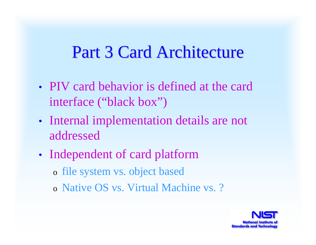### Part 3 Card Architecture

- PIV card behavior is defined at the card interface ("black box")
- •• Internal implementation details are not addressed
- •• Independent of card platform
	- o file system vs. object based
	- o Native OS vs. Virtual Machine vs. ?

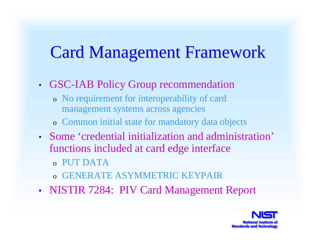# **Card Management Framework**

#### •GSC-IAB Policy Group recommendation

- o No requirement for interoperability of card management systems across agencies
- o Common initial state for mandatory data objects
- Some 'credential initialization and administration' functions included at card edge interface
	- o PUT DATA
	- o GENERATE ASYMMETRIC KEYPAIR
- •NISTIR 7284: PIV Card Management Report

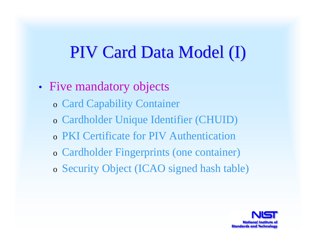## PIV Card Data Model (I)

- •• Five mandatory objects
	- o Card Capability Container
	- o Cardholder Unique Identifier (CHUID)
	- o PKI Certificate for PIV Authentication
	- o Cardholder Fingerprints (one container)
	- o Security Object (ICAO signed hash table)

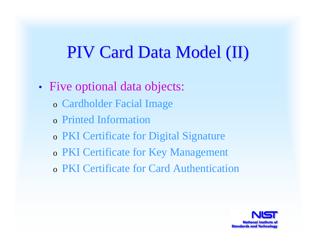### PIV Card Data Model (II)

- • Five optional data objects:
	- o Cardholder Facial Image
	- o Printed Information
	- o PKI Certificate for Digital Signature
	- o PKI Certificate for Key Management
	- o PKI Certificate for Card Authentication

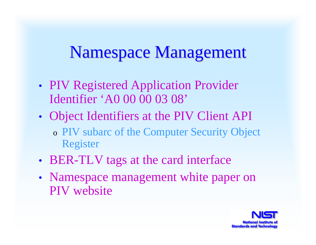# Namespace Management

- •• PIV Registered Application Provider Identifier 'A0 00 00 03 08'
- • Object Identifiers at the PIV Client API o PIV subarc of the Computer Security Object Register
- •• BER-TLV tags at the card interface
- •• Namespace management white paper on PIV website

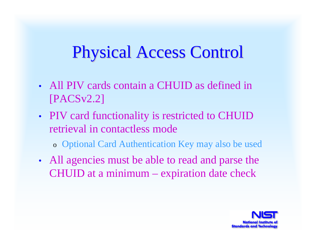# Physical Access Control Physical Access Control

- All PIV cards contain a CHUID as defined in [PACSv2.2]
- •• PIV card functionality is restricted to CHUID retrieval in contactless mode
	- o Optional Card Authentication Key may also be used
- • All agencies must be able to read and parse the CHUID at a minimum – expiration date check

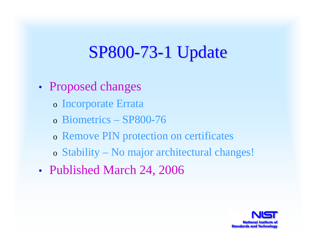# **SP800-73-1 Update**

- • Proposed changes
	- o Incorporate Errata
	- o Biometrics SP800-76
	- o Remove PIN protection on certificates
	- o Stability No major architectural changes!
- •• Published March 24, 2006

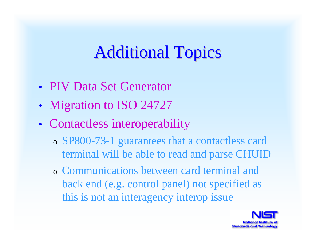# **Additional Topics**

- PIV Data Set Generator
- •• Migration to ISO 24727
- • Contactless interoperability
	- o SP800-73-1 guarantees that a contactless card terminal will be able to read and parse CHUID
	- o Communications between card terminal and back end (e.g. control panel) not specified as this is not an interagency interop issue